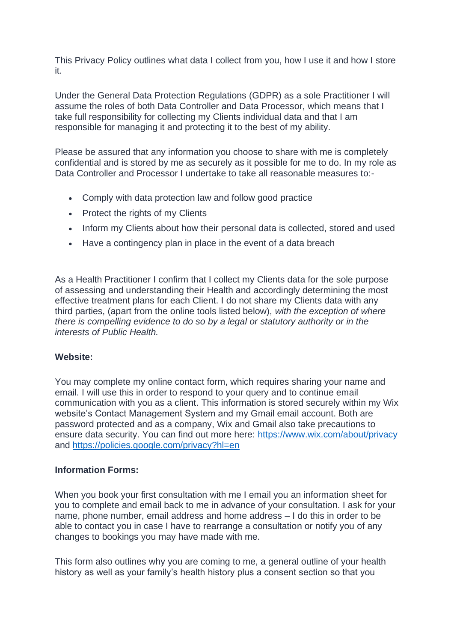This Privacy Policy outlines what data I collect from you, how I use it and how I store it.

Under the General Data Protection Regulations (GDPR) as a sole Practitioner I will assume the roles of both Data Controller and Data Processor, which means that I take full responsibility for collecting my Clients individual data and that I am responsible for managing it and protecting it to the best of my ability.

Please be assured that any information you choose to share with me is completely confidential and is stored by me as securely as it possible for me to do. In my role as Data Controller and Processor I undertake to take all reasonable measures to:-

- Comply with data protection law and follow good practice
- Protect the rights of my Clients
- Inform my Clients about how their personal data is collected, stored and used
- Have a contingency plan in place in the event of a data breach

As a Health Practitioner I confirm that I collect my Clients data for the sole purpose of assessing and understanding their Health and accordingly determining the most effective treatment plans for each Client. I do not share my Clients data with any third parties, (apart from the online tools listed below), *with the exception of where there is compelling evidence to do so by a legal or statutory authority or in the interests of Public Health.*

## **Website:**

You may complete my online contact form, which requires sharing your name and email. I will use this in order to respond to your query and to continue email communication with you as a client. This information is stored securely within my Wix website's Contact Management System and my Gmail email account. Both are password protected and as a company, Wix and Gmail also take precautions to ensure data security. You can find out more here:<https://www.wix.com/about/privacy> and<https://policies.google.com/privacy?hl=en>

## **Information Forms:**

When you book your first consultation with me I email you an information sheet for you to complete and email back to me in advance of your consultation. I ask for your name, phone number, email address and home address – I do this in order to be able to contact you in case I have to rearrange a consultation or notify you of any changes to bookings you may have made with me.

This form also outlines why you are coming to me, a general outline of your health history as well as your family's health history plus a consent section so that you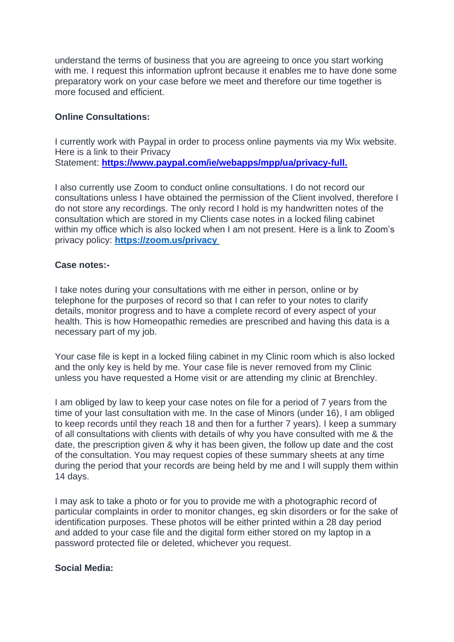understand the terms of business that you are agreeing to once you start working with me. I request this information upfront because it enables me to have done some preparatory work on your case before we meet and therefore our time together is more focused and efficient.

## **Online Consultations:**

I currently work with Paypal in order to process online payments via my Wix website. Here is a link to their Privacy Statement: **[https://www.paypal.com/ie/webapps/mpp/ua/privacy-full.](https://www.paypal.com/ie/webapps/mpp/ua/privacy-full)**

I also currently use Zoom to conduct online consultations. I do not record our consultations unless I have obtained the permission of the Client involved, therefore I do not store any recordings. The only record I hold is my handwritten notes of the consultation which are stored in my Clients case notes in a locked filing cabinet within my office which is also locked when I am not present. Here is a link to Zoom's privacy policy: **[https://zoom.us/privacy](https://zoom.us/privacy )**

## **Case notes:-**

I take notes during your consultations with me either in person, online or by telephone for the purposes of record so that I can refer to your notes to clarify details, monitor progress and to have a complete record of every aspect of your health. This is how Homeopathic remedies are prescribed and having this data is a necessary part of my job.

Your case file is kept in a locked filing cabinet in my Clinic room which is also locked and the only key is held by me. Your case file is never removed from my Clinic unless you have requested a Home visit or are attending my clinic at Brenchley.

I am obliged by law to keep your case notes on file for a period of 7 years from the time of your last consultation with me. In the case of Minors (under 16), I am obliged to keep records until they reach 18 and then for a further 7 years). I keep a summary of all consultations with clients with details of why you have consulted with me & the date, the prescription given & why it has been given, the follow up date and the cost of the consultation. You may request copies of these summary sheets at any time during the period that your records are being held by me and I will supply them within 14 days.

I may ask to take a photo or for you to provide me with a photographic record of particular complaints in order to monitor changes, eg skin disorders or for the sake of identification purposes. These photos will be either printed within a 28 day period and added to your case file and the digital form either stored on my laptop in a password protected file or deleted, whichever you request.

#### **Social Media:**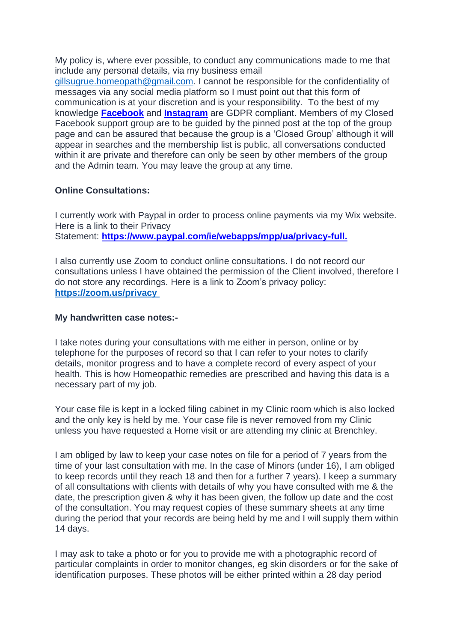My policy is, where ever possible, to conduct any communications made to me that include any personal details, via my business email [gillsugrue.homeopath@gmail.com.](mailto:gillsugrue.homeopath@gmail.com) I cannot be responsible for the confidentiality of messages via any social media platform so I must point out that this form of communication is at your discretion and is your responsibility. To the best of my knowledge **[Facebook](https://www.facebook.com/about/privacy)** and **[Instagram](https://help.instagram.com/519522125107875?helpref=page_content)** are GDPR compliant. Members of my Closed Facebook support group are to be guided by the pinned post at the top of the group page and can be assured that because the group is a 'Closed Group' although it will appear in searches and the membership list is public, all conversations conducted within it are private and therefore can only be seen by other members of the group and the Admin team. You may leave the group at any time.

# **Online Consultations:**

I currently work with Paypal in order to process online payments via my Wix website. Here is a link to their Privacy Statement: **[https://www.paypal.com/ie/webapps/mpp/ua/privacy-full.](https://www.paypal.com/ie/webapps/mpp/ua/privacy-full)**

I also currently use Zoom to conduct online consultations. I do not record our consultations unless I have obtained the permission of the Client involved, therefore I do not store any recordings. Here is a link to Zoom's privacy policy: **[https://zoom.us/privacy](https://zoom.us/privacy )**

## **My handwritten case notes:-**

I take notes during your consultations with me either in person, online or by telephone for the purposes of record so that I can refer to your notes to clarify details, monitor progress and to have a complete record of every aspect of your health. This is how Homeopathic remedies are prescribed and having this data is a necessary part of my job.

Your case file is kept in a locked filing cabinet in my Clinic room which is also locked and the only key is held by me. Your case file is never removed from my Clinic unless you have requested a Home visit or are attending my clinic at Brenchley.

I am obliged by law to keep your case notes on file for a period of 7 years from the time of your last consultation with me. In the case of Minors (under 16), I am obliged to keep records until they reach 18 and then for a further 7 years). I keep a summary of all consultations with clients with details of why you have consulted with me & the date, the prescription given & why it has been given, the follow up date and the cost of the consultation. You may request copies of these summary sheets at any time during the period that your records are being held by me and I will supply them within 14 days.

I may ask to take a photo or for you to provide me with a photographic record of particular complaints in order to monitor changes, eg skin disorders or for the sake of identification purposes. These photos will be either printed within a 28 day period